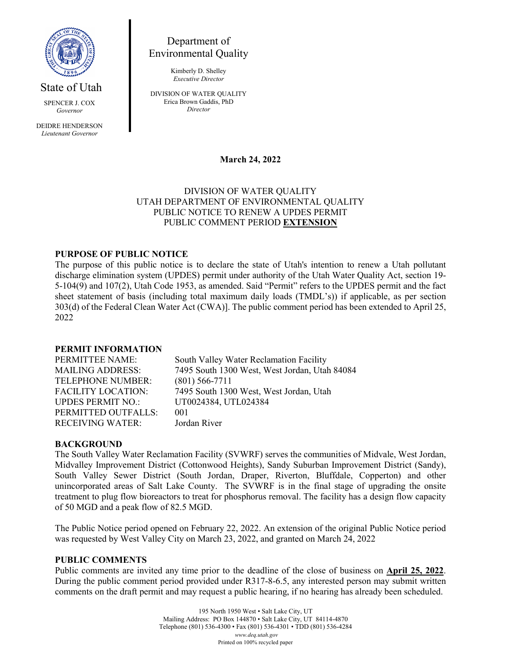

State of Utah

SPENCER J. COX *Governor*

DEIDRE HENDERSON *Lieutenant Governor*

Department of Environmental Quality

> Kimberly D. Shelley *Executive Director*

DIVISION OF WATER QUALITY Erica Brown Gaddis, PhD *Director*

**March 24, 2022**

# DIVISION OF WATER QUALITY UTAH DEPARTMENT OF ENVIRONMENTAL QUALITY PUBLIC NOTICE TO RENEW A UPDES PERMIT PUBLIC COMMENT PERIOD **EXTENSION**

# **PURPOSE OF PUBLIC NOTICE**

The purpose of this public notice is to declare the state of Utah's intention to renew a Utah pollutant discharge elimination system (UPDES) permit under authority of the Utah Water Quality Act, section 19- 5-104(9) and 107(2), Utah Code 1953, as amended. Said "Permit" refers to the UPDES permit and the fact sheet statement of basis (including total maximum daily loads (TMDL's)) if applicable, as per section 303(d) of the Federal Clean Water Act (CWA)]. The public comment period has been extended to April 25, 2022

## **PERMIT INFORMATION**

PERMITTEE NAME: South Valley Water Reclamation Facility MAILING ADDRESS: 7495 South 1300 West, West Jordan, Utah 84084 TELEPHONE NUMBER: (801) 566-7711 FACILITY LOCATION: 7495 South 1300 West, West Jordan, Utah UPDES PERMIT NO.: UT0024384, UTL024384 PERMITTED OUTFALLS: 001 RECEIVING WATER: Jordan River

#### **BACKGROUND**

The South Valley Water Reclamation Facility (SVWRF) serves the communities of Midvale, West Jordan, Midvalley Improvement District (Cottonwood Heights), Sandy Suburban Improvement District (Sandy), South Valley Sewer District (South Jordan, Draper, Riverton, Bluffdale, Copperton) and other unincorporated areas of Salt Lake County. The SVWRF is in the final stage of upgrading the onsite treatment to plug flow bioreactors to treat for phosphorus removal. The facility has a design flow capacity of 50 MGD and a peak flow of 82.5 MGD.

The Public Notice period opened on February 22, 2022. An extension of the original Public Notice period was requested by West Valley City on March 23, 2022, and granted on March 24, 2022

### **PUBLIC COMMENTS**

Public comments are invited any time prior to the deadline of the close of business on **April 25, 2022**. During the public comment period provided under R317-8-6.5, any interested person may submit written comments on the draft permit and may request a public hearing, if no hearing has already been scheduled.

> 195 North 1950 West • Salt Lake City, UT Mailing Address: PO Box 144870 • Salt Lake City, UT 84114-4870 Telephone (801) 536-4300 • Fax (801) 536-4301 • TDD (801) 536-4284 *www.deq.utah.gov* Printed on 100% recycled paper